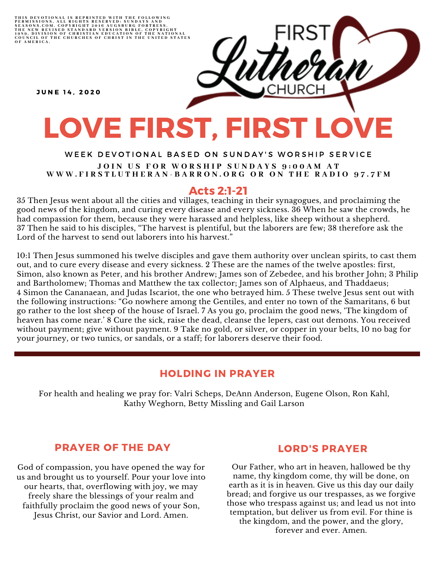THIS DEVOTIONAL IS REPRINTED WITH THE FOLLOWING<br>PERMISSIONS, ALL RIGHTS RESERVED: SUNDAYS AND<br>SEASONS.COM. COPYRIGHT 2016 AUGSBURG FORTRESS.<br>THE NEW REVISED STANDARD VERSION BIBLE, COPYRIGHT<br>1959, DIVISION OF CHRISTIAN EDU

**JUNE 14. 2020** 

# LOVE FIRST, FIRST LOVE

#### WEEK DEVOTIONAL BASED ON SUNDAY'S WORSHIP SERVICE JOIN US FOR WORSHIP SUNDAYS 9:00AM AT WWW.FIRSTLUTHERAN-BARRON.ORG OR ON THE RADIO 97.7FM

### Acts 2:1-21

35 Then Jesus went about all the cities and villages, teaching in their synagogues, and proclaiming the good news of the kingdom, and curing every disease and every sickness. 36 When he saw the crowds, he had compassion for them, because they were harassed and helpless, like sheep without a shepherd. 37 Then he said to his disciples, "The harvest is plentiful, but the laborers are few; 38 therefore ask the Lord of the harvest to send out laborers into his harvest."

10:1 Then Jesus summoned his twelve disciples and gave them authority over unclean spirits, to cast them out, and to cure every disease and every sickness. 2 These are the names of the twelve apostles: first, Simon, also known as Peter, and his brother Andrew; James son of Zebedee, and his brother John; 3 Philip and Bartholomew; Thomas and Matthew the tax collector; James son of Alphaeus, and Thaddaeus; 4 Simon the Cananaean, and Judas Iscariot, the one who betrayed him. 5 These twelve Jesus sent out with the following instructions: "Go nowhere among the Gentiles, and enter no town of the Samaritans, 6 but go rather to the lost sheep of the house of Israel. 7 As you go, proclaim the good news, 'The kingdom of heaven has come near.' 8 Cure the sick, raise the dead, cleanse the lepers, cast out demons. You received without payment; give without payment. 9 Take no gold, or silver, or copper in your belts, 10 no bag for your journey, or two tunics, or sandals, or a staff; for laborers deserve their food.

# HOLDING IN PRAYER

For health and healing we pray for: Valri Scheps, DeAnn Anderson, Eugene Olson, Ron Kahl, Kathy Weghorn, Betty Missling and Gail Larson

# PRAYER OF THE DAY

God of compassion, you have opened the way for us and brought us to yourself. Pour your love into our hearts, that, overflowing with joy, we may freely share the blessings of your realm and faithfully proclaim the good news of your Son, Jesus Christ, our Savior and Lord. Amen.

#### LORD'S PRAYER

Our Father, who art in heaven, hallowed be thy name, thy kingdom come, thy will be done, on earth as it is in heaven. Give us this day our daily bread; and forgive us our trespasses, as we forgive those who trespass against us; and lead us not into temptation, but deliver us from evil. For thine is the kingdom, and the power, and the glory, forever and ever. Amen.